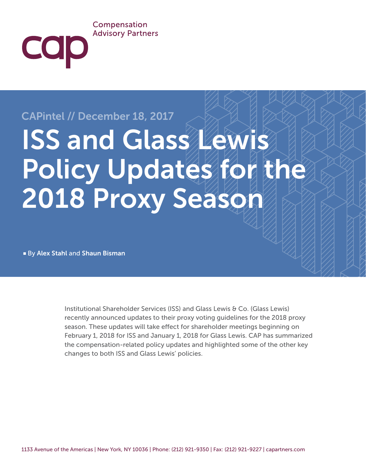## Compensation **Advisory Partners**

# CAPintel // December 18, 2017

**COD** 

# ISS and Glass Lewis Policy Updates for the 2018 Proxy Season

■ By Alex Stahl and Shaun Bisman

Institutional Shareholder Services (ISS) and Glass Lewis & Co. (Glass Lewis) recently announced updates to their proxy voting guidelines for the 2018 proxy season. These updates will take effect for shareholder meetings beginning on February 1, 2018 for ISS and January 1, 2018 for Glass Lewis. CAP has summarized the compensation-related policy updates and highlighted some of the other key changes to both ISS and Glass Lewis' policies.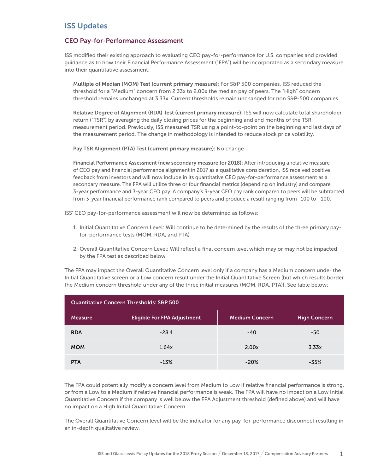# ISS Updates

#### CEO Pay-for-Performance Assessment

ISS modified their existing approach to evaluating CEO pay-for-performance for U.S. companies and provided guidance as to how their Financial Performance Assessment ("FPA") will be incorporated as a secondary measure into their quantitative assessment:

Multiple of Median (MOM) Test (current primary measure): For S&P 500 companies, ISS reduced the threshold for a "Medium" concern from 2.33x to 2.00x the median pay of peers. The "High" concern threshold remains unchanged at 3.33x. Current thresholds remain unchanged for non S&P-500 companies.

Relative Degree of Alignment (RDA) Test (current primary measure): ISS will now calculate total shareholder return ("TSR") by averaging the daily closing prices for the beginning and end months of the TSR measurement period. Previously, ISS measured TSR using a point-to-point on the beginning and last days of the measurement period. The change in methodology is intended to reduce stock price volatility.

Pay TSR Alignment (PTA) Test (current primary measure): No change

Financial Performance Assessment (new secondary measure for 2018): After introducing a relative measure of CEO pay and financial performance alignment in 2017 as a qualitative consideration, ISS received positive feedback from investors and will now include in its quantitative CEO pay-for-performance assessment as a secondary measure. The FPA will utilize three or four financial metrics (depending on industry) and compare 3-year performance and 3-year CEO pay. A company's 3-year CEO pay rank compared to peers will be subtracted from 3-year financial performance rank compared to peers and produce a result ranging from -100 to +100.

ISS' CEO pay-for-performance assessment will now be determined as follows:

- 1. Initial Quantitative Concern Level: Will continue to be determined by the results of the three primary payfor-performance tests (MOM, RDA, and PTA)
- 2. Overall Quantitative Concern Level: Will reflect a final concern level which may or may not be impacted by the FPA test as described below

The FPA may impact the Overall Quantitative Concern level only if a company has a Medium concern under the Initial Quantitative screen or a Low concern result under the Initial Quantitative Screen [but which results border the Medium concern threshold under any of the three initial measures (MOM, RDA, PTA)]. See table below:

| <b>Quantitative Concern Thresholds: S&amp;P 500</b> |                                    |                       |                     |
|-----------------------------------------------------|------------------------------------|-----------------------|---------------------|
| Measure                                             | <b>Eligible For FPA Adjustment</b> | <b>Medium Concern</b> | <b>High Concern</b> |
| <b>RDA</b>                                          | $-28.4$                            | $-40$                 | $-50$               |
| <b>MOM</b>                                          | 1.64x                              | 2.00x                 | 3.33x               |
| <b>PTA</b>                                          | $-13%$                             | $-20%$                | $-35%$              |

The FPA could potentially modify a concern level from Medium to Low if relative financial performance is strong, or from a Low to a Medium if relative financial performance is weak. The FPA will have no impact on a Low Initial Quantitative Concern if the company is well below the FPA Adjustment threshold (defined above) and will have no impact on a High Initial Quantitative Concern.

The Overall Quantitative Concern level will be the indicator for any pay-for-performance disconnect resulting in an in-depth qualitative review.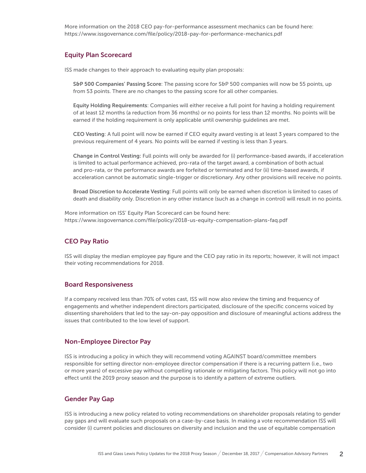More information on the 2018 CEO pay-for-performance assessment mechanics can be found here: https://www.issgovernance.com/file/policy/2018-pay-for-performance-mechanics.pdf

#### Equity Plan Scorecard

ISS made changes to their approach to evaluating equity plan proposals:

S&P 500 Companies' Passing Score: The passing score for S&P 500 companies will now be 55 points, up from 53 points. There are no changes to the passing score for all other companies.

Equity Holding Requirements: Companies will either receive a full point for having a holding requirement of at least 12 months (a reduction from 36 months) or no points for less than 12 months. No points will be earned if the holding requirement is only applicable until ownership guidelines are met.

CEO Vesting: A full point will now be earned if CEO equity award vesting is at least 3 years compared to the previous requirement of 4 years. No points will be earned if vesting is less than 3 years.

Change in Control Vesting: Full points will only be awarded for (i) performance-based awards, if acceleration is limited to actual performance achieved, pro-rata of the target award, a combination of both actual and pro-rata, or the performance awards are forfeited or terminated and for (ii) time-based awards, if acceleration cannot be automatic single-trigger or discretionary. Any other provisions will receive no points.

Broad Discretion to Accelerate Vesting: Full points will only be earned when discretion is limited to cases of death and disability only. Discretion in any other instance (such as a change in control) will result in no points.

More information on ISS' Equity Plan Scorecard can be found here: https://www.issgovernance.com/file/policy/2018-us-equity-compensation-plans-faq.pdf

#### CEO Pay Ratio

ISS will display the median employee pay figure and the CEO pay ratio in its reports; however, it will not impact their voting recommendations for 2018.

#### Board Responsiveness

If a company received less than 70% of votes cast, ISS will now also review the timing and frequency of engagements and whether independent directors participated, disclosure of the specific concerns voiced by dissenting shareholders that led to the say-on-pay opposition and disclosure of meaningful actions address the issues that contributed to the low level of support.

#### Non-Employee Director Pay

ISS is introducing a policy in which they will recommend voting AGAINST board/committee members responsible for setting director non-employee director compensation if there is a recurring pattern (i.e., two or more years) of excessive pay without compelling rationale or mitigating factors. This policy will not go into effect until the 2019 proxy season and the purpose is to identify a pattern of extreme outliers.

#### Gender Pay Gap

ISS is introducing a new policy related to voting recommendations on shareholder proposals relating to gender pay gaps and will evaluate such proposals on a case-by-case basis. In making a vote recommendation ISS will consider (i) current policies and disclosures on diversity and inclusion and the use of equitable compensation